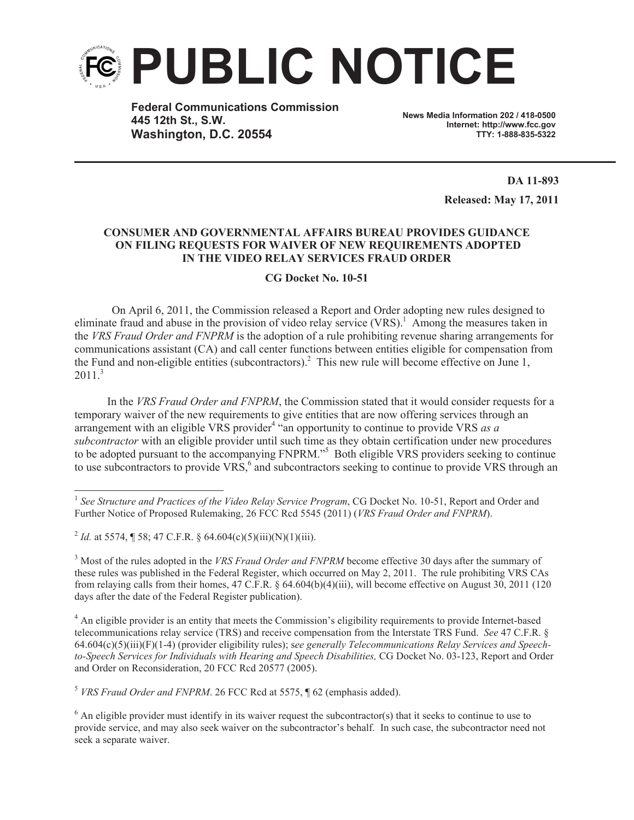

**Federal Communications Commission 445 12th St., S.W. Washington, D.C. 20554**

**News Media Information 202 / 418-0500 Internet: http://www.fcc.gov TTY: 1-888-835-5322**

> **DA 11-893 Released: May 17, 2011**

## **CONSUMER AND GOVERNMENTAL AFFAIRS BUREAU PROVIDES GUIDANCE ON FILING REQUESTS FOR WAIVER OF NEW REQUIREMENTS ADOPTED IN THE VIDEO RELAY SERVICES FRAUD ORDER**

## **CG Docket No. 10-51**

On April 6, 2011, the Commission released a Report and Order adopting new rules designed to eliminate fraud and abuse in the provision of video relay service  $(VRS)$ .<sup>1</sup> Among the measures taken in the *VRS Fraud Order and FNPRM* is the adoption of a rule prohibiting revenue sharing arrangements for communications assistant (CA) and call center functions between entities eligible for compensation from the Fund and non-eligible entities (subcontractors).<sup>2</sup> This new rule will become effective on June 1,  $2011<sup>3</sup>$ 

In the *VRS Fraud Order and FNPRM*, the Commission stated that it would consider requests for a temporary waiver of the new requirements to give entities that are now offering services through an arrangement with an eligible VRS provider<sup>4</sup> "an opportunity to continue to provide VRS *as a subcontractor* with an eligible provider until such time as they obtain certification under new procedures to be adopted pursuant to the accompanying FNPRM."<sup>5</sup> Both eligible VRS providers seeking to continue to use subcontractors to provide VRS,<sup>6</sup> and subcontractors seeking to continue to provide VRS through an

<sup>2</sup> *Id.* at 5574, ¶ 58; 47 C.F.R. § 64.604(c)(5)(iii)(N)(1)(iii).

<sup>3</sup> Most of the rules adopted in the *VRS Fraud Order and FNPRM* become effective 30 days after the summary of these rules was published in the Federal Register, which occurred on May 2, 2011. The rule prohibiting VRS CAs from relaying calls from their homes, 47 C.F.R. § 64.604(b)(4)(iii), will become effective on August 30, 2011 (120 days after the date of the Federal Register publication).

<sup>4</sup> An eligible provider is an entity that meets the Commission's eligibility requirements to provide Internet-based telecommunications relay service (TRS) and receive compensation from the Interstate TRS Fund. *See* 47 C.F.R. § 64.604(c)(5)(iii)(F)(1-4) (provider eligibility rules); s*ee generally Telecommunications Relay Services and Speechto-Speech Services for Individuals with Hearing and Speech Disabilities,* CG Docket No. 03-123, Report and Order and Order on Reconsideration, 20 FCC Rcd 20577 (2005).

<sup>5</sup> *VRS Fraud Order and FNPRM*. 26 FCC Rcd at 5575, ¶ 62 (emphasis added).

 $6$  An eligible provider must identify in its waiver request the subcontractor(s) that it seeks to continue to use to provide service, and may also seek waiver on the subcontractor's behalf. In such case, the subcontractor need not seek a separate waiver.

<sup>&</sup>lt;sup>1</sup> See Structure and Practices of the Video Relay Service Program, CG Docket No. 10-51, Report and Order and Further Notice of Proposed Rulemaking, 26 FCC Rcd 5545 (2011) (*VRS Fraud Order and FNPRM*).